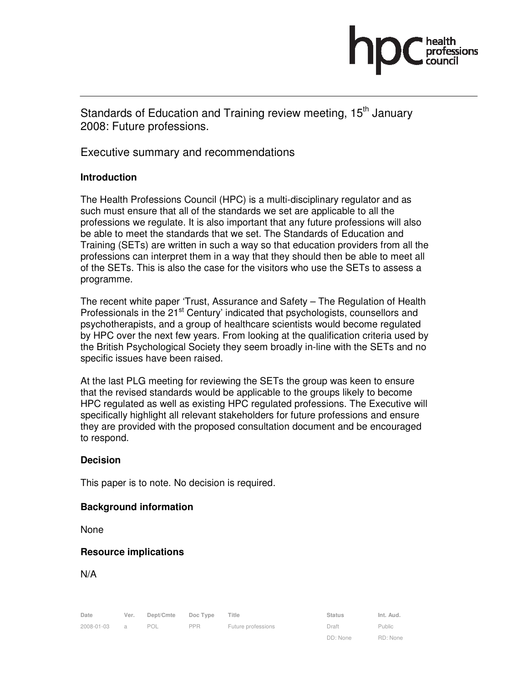Standards of Education and Training review meeting, 15<sup>th</sup> Januarv 2008: Future professions.

Executive summary and recommendations

## **Introduction**

The Health Professions Council (HPC) is a multi-disciplinary regulator and as such must ensure that all of the standards we set are applicable to all the professions we regulate. It is also important that any future professions will also be able to meet the standards that we set. The Standards of Education and Training (SETs) are written in such a way so that education providers from all the professions can interpret them in a way that they should then be able to meet all of the SETs. This is also the case for the visitors who use the SETs to assess a programme.

The recent white paper 'Trust, Assurance and Safety – The Regulation of Health Professionals in the 21<sup>st</sup> Century' indicated that psychologists, counsellors and psychotherapists, and a group of healthcare scientists would become regulated by HPC over the next few years. From looking at the qualification criteria used by the British Psychological Society they seem broadly in-line with the SETs and no specific issues have been raised.

At the last PLG meeting for reviewing the SETs the group was keen to ensure that the revised standards would be applicable to the groups likely to become HPC regulated as well as existing HPC regulated professions. The Executive will specifically highlight all relevant stakeholders for future professions and ensure they are provided with the proposed consultation document and be encouraged to respond.

### **Decision**

This paper is to note. No decision is required.

### **Background information**

None

### **Resource implications**

N/A

2008-01-03 a POL PPR Future professions Draft

Date Ver. Dept/Cmte Doc Type Title **Status** Status Int. Aud. DD: None

Public RD: None